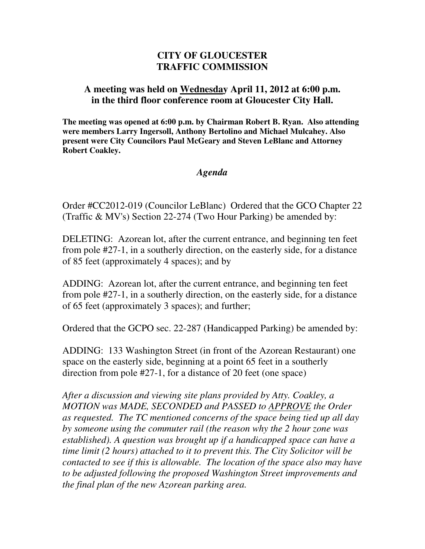## **CITY OF GLOUCESTER TRAFFIC COMMISSION**

## **A meeting was held on Wednesday April 11, 2012 at 6:00 p.m. in the third floor conference room at Gloucester City Hall.**

**The meeting was opened at 6:00 p.m. by Chairman Robert B. Ryan. Also attending were members Larry Ingersoll, Anthony Bertolino and Michael Mulcahey. Also present were City Councilors Paul McGeary and Steven LeBlanc and Attorney Robert Coakley.** 

## *Agenda*

Order #CC2012-019 (Councilor LeBlanc) Ordered that the GCO Chapter 22 (Traffic & MV's) Section 22-274 (Two Hour Parking) be amended by:

DELETING: Azorean lot, after the current entrance, and beginning ten feet from pole #27-1, in a southerly direction, on the easterly side, for a distance of 85 feet (approximately 4 spaces); and by

ADDING: Azorean lot, after the current entrance, and beginning ten feet from pole #27-1, in a southerly direction, on the easterly side, for a distance of 65 feet (approximately 3 spaces); and further;

Ordered that the GCPO sec. 22-287 (Handicapped Parking) be amended by:

ADDING: 133 Washington Street (in front of the Azorean Restaurant) one space on the easterly side, beginning at a point 65 feet in a southerly direction from pole #27-1, for a distance of 20 feet (one space)

*After a discussion and viewing site plans provided by Atty. Coakley, a MOTION was MADE, SECONDED and PASSED to APPROVE the Order as requested. The TC mentioned concerns of the space being tied up all day by someone using the commuter rail (the reason why the 2 hour zone was established). A question was brought up if a handicapped space can have a time limit (2 hours) attached to it to prevent this. The City Solicitor will be contacted to see if this is allowable. The location of the space also may have to be adjusted following the proposed Washington Street improvements and the final plan of the new Azorean parking area.*